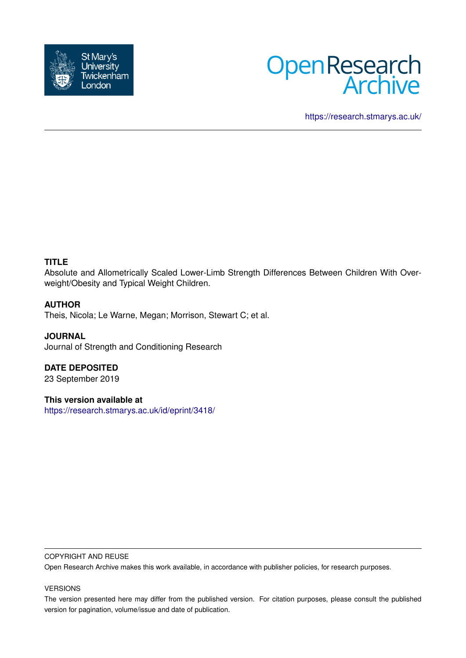



<https://research.stmarys.ac.uk/>

# **TITLE**

Absolute and Allometrically Scaled Lower-Limb Strength Differences Between Children With Overweight/Obesity and Typical Weight Children.

# **AUTHOR**

Theis, Nicola; Le Warne, Megan; Morrison, Stewart C; et al.

**JOURNAL** Journal of Strength and Conditioning Research

**DATE DEPOSITED** 23 September 2019

**This version available at**

<https://research.stmarys.ac.uk/id/eprint/3418/>

#### COPYRIGHT AND REUSE

Open Research Archive makes this work available, in accordance with publisher policies, for research purposes.

#### VERSIONS

The version presented here may differ from the published version. For citation purposes, please consult the published version for pagination, volume/issue and date of publication.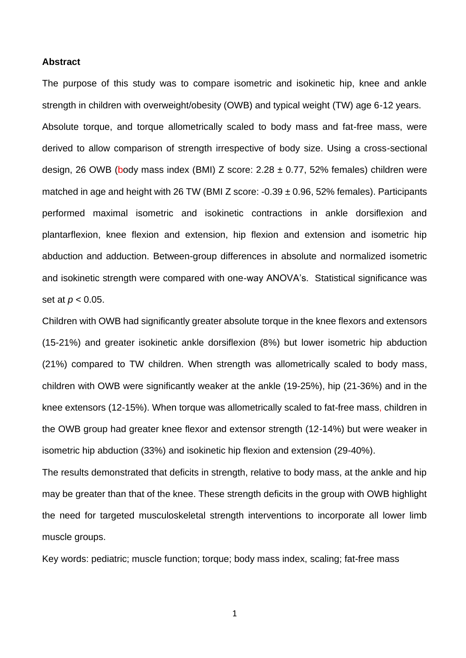### **Abstract**

The purpose of this study was to compare isometric and isokinetic hip, knee and ankle strength in children with overweight/obesity (OWB) and typical weight (TW) age 6-12 years. Absolute torque, and torque allometrically scaled to body mass and fat-free mass, were derived to allow comparison of strength irrespective of body size. Using a cross-sectional design, 26 OWB (body mass index (BMI) Z score:  $2.28 \pm 0.77$ , 52% females) children were matched in age and height with 26 TW (BMI Z score:  $-0.39 \pm 0.96$ , 52% females). Participants performed maximal isometric and isokinetic contractions in ankle dorsiflexion and plantarflexion, knee flexion and extension, hip flexion and extension and isometric hip abduction and adduction. Between-group differences in absolute and normalized isometric and isokinetic strength were compared with one-way ANOVA's. Statistical significance was set at *p* < 0.05.

Children with OWB had significantly greater absolute torque in the knee flexors and extensors (15-21%) and greater isokinetic ankle dorsiflexion (8%) but lower isometric hip abduction (21%) compared to TW children. When strength was allometrically scaled to body mass, children with OWB were significantly weaker at the ankle (19-25%), hip (21-36%) and in the knee extensors (12-15%). When torque was allometrically scaled to fat-free mass, children in the OWB group had greater knee flexor and extensor strength (12-14%) but were weaker in isometric hip abduction (33%) and isokinetic hip flexion and extension (29-40%).

The results demonstrated that deficits in strength, relative to body mass, at the ankle and hip may be greater than that of the knee. These strength deficits in the group with OWB highlight the need for targeted musculoskeletal strength interventions to incorporate all lower limb muscle groups.

Key words: pediatric; muscle function; torque; body mass index, scaling; fat-free mass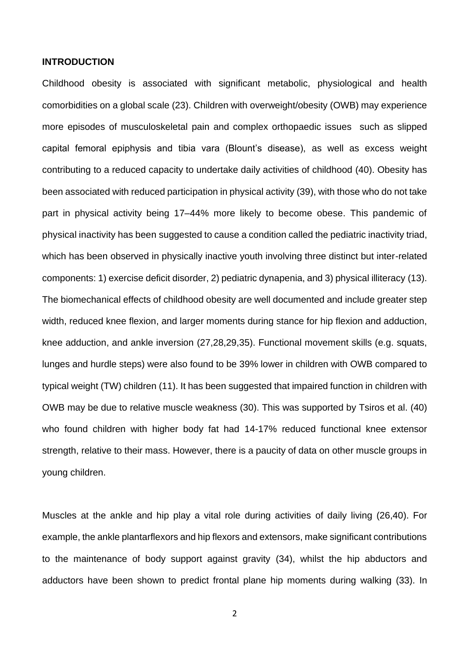# **INTRODUCTION**

Childhood obesity is associated with significant metabolic, physiological and health comorbidities on a global scale (23). Children with overweight/obesity (OWB) may experience more episodes of musculoskeletal pain and complex orthopaedic issues such as slipped capital femoral epiphysis and tibia vara (Blount's disease), as well as excess weight contributing to a reduced capacity to undertake daily activities of childhood (40). Obesity has been associated with reduced participation in physical activity (39), with those who do not take part in physical activity being 17–44% more likely to become obese. This pandemic of physical inactivity has been suggested to cause a condition called the pediatric inactivity triad, which has been observed in physically inactive youth involving three distinct but inter-related components: 1) exercise deficit disorder, 2) pediatric dynapenia, and 3) physical illiteracy (13). The biomechanical effects of childhood obesity are well documented and include greater step width, reduced knee flexion, and larger moments during stance for hip flexion and adduction, knee adduction, and ankle inversion (27,28,29,35). Functional movement skills (e.g. squats, lunges and hurdle steps) were also found to be 39% lower in children with OWB compared to typical weight (TW) children (11). It has been suggested that impaired function in children with OWB may be due to relative muscle weakness (30). This was supported by Tsiros et al. (40) who found children with higher body fat had 14-17% reduced functional knee extensor strength, relative to their mass. However, there is a paucity of data on other muscle groups in young children.

Muscles at the ankle and hip play a vital role during activities of daily living (26,40). For example, the ankle plantarflexors and hip flexors and extensors, make significant contributions to the maintenance of body support against gravity (34), whilst the hip abductors and adductors have been shown to predict frontal plane hip moments during walking (33). In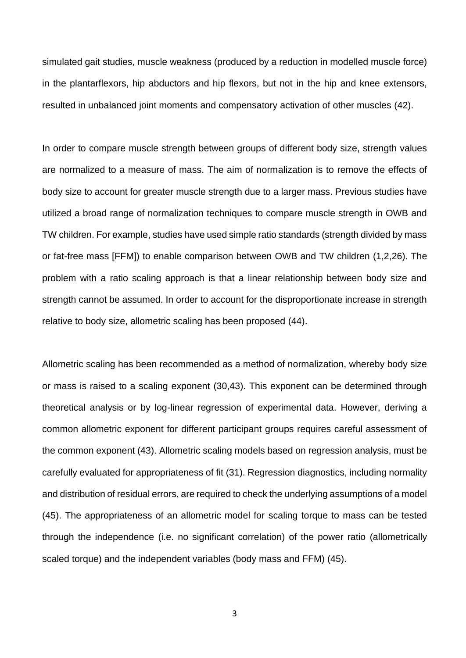simulated gait studies, muscle weakness (produced by a reduction in modelled muscle force) in the plantarflexors, hip abductors and hip flexors, but not in the hip and knee extensors, resulted in unbalanced joint moments and compensatory activation of other muscles (42).

In order to compare muscle strength between groups of different body size, strength values are normalized to a measure of mass. The aim of normalization is to remove the effects of body size to account for greater muscle strength due to a larger mass. Previous studies have utilized a broad range of normalization techniques to compare muscle strength in OWB and TW children. For example, studies have used simple ratio standards (strength divided by mass or fat-free mass [FFM]) to enable comparison between OWB and TW children (1,2,26). The problem with a ratio scaling approach is that a linear relationship between body size and strength cannot be assumed. In order to account for the disproportionate increase in strength relative to body size, allometric scaling has been proposed (44).

Allometric scaling has been recommended as a method of normalization, whereby body size or mass is raised to a scaling exponent (30,43). This exponent can be determined through theoretical analysis or by log-linear regression of experimental data. However, deriving a common allometric exponent for different participant groups requires careful assessment of the common exponent (43). Allometric scaling models based on regression analysis, must be carefully evaluated for appropriateness of fit (31). Regression diagnostics, including normality and distribution of residual errors, are required to check the underlying assumptions of a model (45). The appropriateness of an allometric model for scaling torque to mass can be tested through the independence (i.e. no significant correlation) of the power ratio (allometrically scaled torque) and the independent variables (body mass and FFM) (45).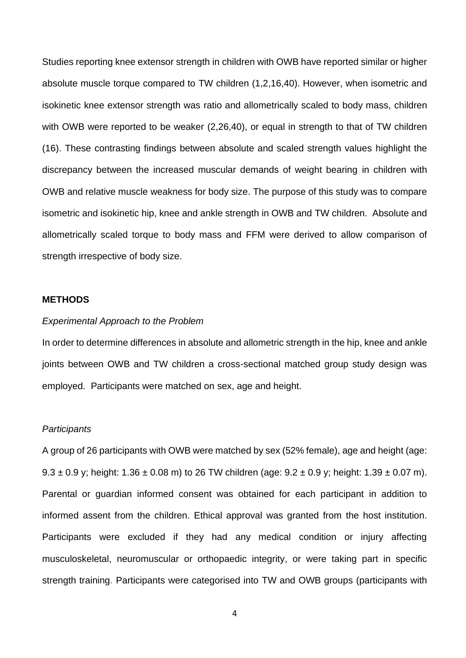Studies reporting knee extensor strength in children with OWB have reported similar or higher absolute muscle torque compared to TW children (1,2,16,40). However, when isometric and isokinetic knee extensor strength was ratio and allometrically scaled to body mass, children with OWB were reported to be weaker (2,26,40), or equal in strength to that of TW children (16). These contrasting findings between absolute and scaled strength values highlight the discrepancy between the increased muscular demands of weight bearing in children with OWB and relative muscle weakness for body size. The purpose of this study was to compare isometric and isokinetic hip, knee and ankle strength in OWB and TW children. Absolute and allometrically scaled torque to body mass and FFM were derived to allow comparison of strength irrespective of body size.

# **METHODS**

# *Experimental Approach to the Problem*

In order to determine differences in absolute and allometric strength in the hip, knee and ankle joints between OWB and TW children a cross-sectional matched group study design was employed. Participants were matched on sex, age and height.

### *Participants*

A group of 26 participants with OWB were matched by sex (52% female), age and height (age:  $9.3 \pm 0.9$  y; height:  $1.36 \pm 0.08$  m) to 26 TW children (age:  $9.2 \pm 0.9$  y; height:  $1.39 \pm 0.07$  m). Parental or guardian informed consent was obtained for each participant in addition to informed assent from the children. Ethical approval was granted from the host institution. Participants were excluded if they had any medical condition or injury affecting musculoskeletal, neuromuscular or orthopaedic integrity, or were taking part in specific strength training. Participants were categorised into TW and OWB groups (participants with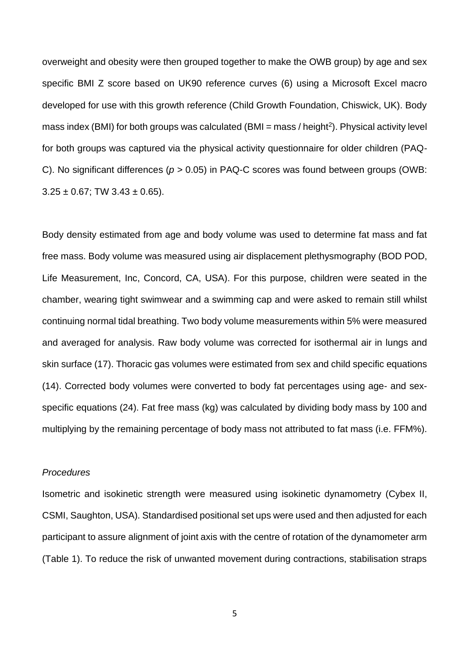overweight and obesity were then grouped together to make the OWB group) by age and sex specific BMI Z score based on UK90 reference curves (6) using a Microsoft Excel macro developed for use with this growth reference (Child Growth Foundation, Chiswick, UK). Body mass index (BMI) for both groups was calculated (BMI = mass / height<sup>2</sup>). Physical activity level for both groups was captured via the physical activity questionnaire for older children (PAQ-C). No significant differences (*p* > 0.05) in PAQ-C scores was found between groups (OWB:  $3.25 \pm 0.67$ ; TW  $3.43 \pm 0.65$ ).

Body density estimated from age and body volume was used to determine fat mass and fat free mass. Body volume was measured using air displacement plethysmography (BOD POD, Life Measurement, Inc, Concord, CA, USA). For this purpose, children were seated in the chamber, wearing tight swimwear and a swimming cap and were asked to remain still whilst continuing normal tidal breathing. Two body volume measurements within 5% were measured and averaged for analysis. Raw body volume was corrected for isothermal air in lungs and skin surface (17). Thoracic gas volumes were estimated from sex and child specific equations (14). Corrected body volumes were converted to body fat percentages using age- and sexspecific equations (24). Fat free mass (kg) was calculated by dividing body mass by 100 and multiplying by the remaining percentage of body mass not attributed to fat mass (i.e. FFM%).

# *Procedures*

Isometric and isokinetic strength were measured using isokinetic dynamometry (Cybex II, CSMI, Saughton, USA). Standardised positional set ups were used and then adjusted for each participant to assure alignment of joint axis with the centre of rotation of the dynamometer arm (Table 1). To reduce the risk of unwanted movement during contractions, stabilisation straps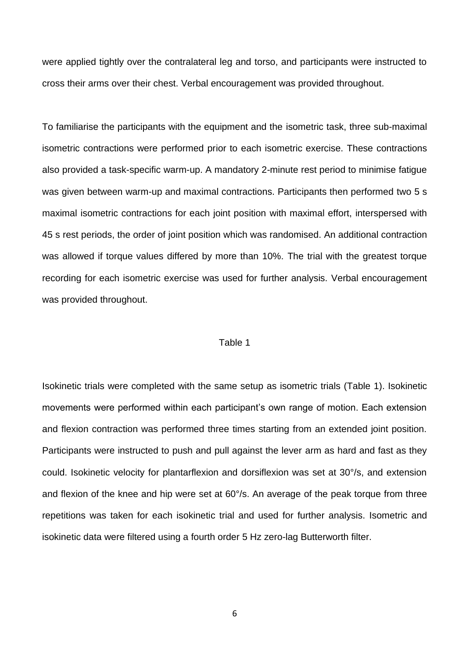were applied tightly over the contralateral leg and torso, and participants were instructed to cross their arms over their chest. Verbal encouragement was provided throughout.

To familiarise the participants with the equipment and the isometric task, three sub-maximal isometric contractions were performed prior to each isometric exercise. These contractions also provided a task-specific warm-up. A mandatory 2-minute rest period to minimise fatigue was given between warm-up and maximal contractions. Participants then performed two 5 s maximal isometric contractions for each joint position with maximal effort, interspersed with 45 s rest periods, the order of joint position which was randomised. An additional contraction was allowed if torque values differed by more than 10%. The trial with the greatest torque recording for each isometric exercise was used for further analysis. Verbal encouragement was provided throughout.

### Table 1

Isokinetic trials were completed with the same setup as isometric trials (Table 1). Isokinetic movements were performed within each participant's own range of motion. Each extension and flexion contraction was performed three times starting from an extended joint position. Participants were instructed to push and pull against the lever arm as hard and fast as they could. Isokinetic velocity for plantarflexion and dorsiflexion was set at 30°/s, and extension and flexion of the knee and hip were set at 60°/s. An average of the peak torque from three repetitions was taken for each isokinetic trial and used for further analysis. Isometric and isokinetic data were filtered using a fourth order 5 Hz zero-lag Butterworth filter.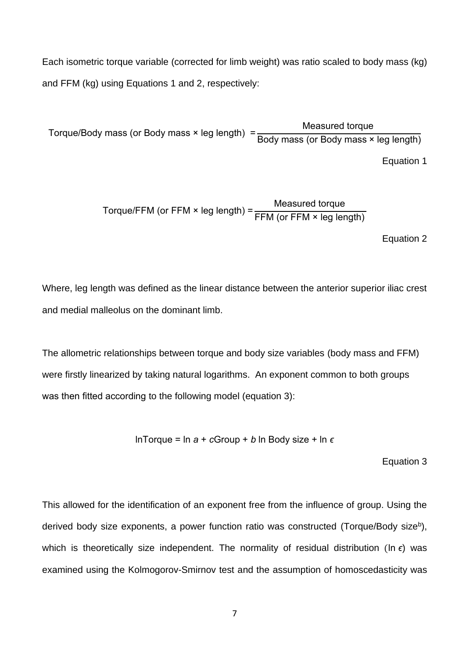Each isometric torque variable (corrected for limb weight) was ratio scaled to body mass (kg) and FFM (kg) using Equations 1 and 2, respectively:

Torque/Body mass (or Body mass × leg length) = Measured torque Body mass (or Body mass × leg length)

Equation 1

Torque/FFM (or FFM × leg length) = 
$$
\frac{\text{Measurement} \cdot \text{Measured torque}}{\text{FFM (or FFM × leg length)}}
$$

Equation 2

Where, leg length was defined as the linear distance between the anterior superior iliac crest and medial malleolus on the dominant limb.

The allometric relationships between torque and body size variables (body mass and FFM) were firstly linearized by taking natural logarithms. An exponent common to both groups was then fitted according to the following model (equation 3):

lnTorque = ln *a* + *c*Group + *b* ln Body size + ln *ϵ*

Equation 3

This allowed for the identification of an exponent free from the influence of group. Using the derived body size exponents, a power function ratio was constructed (Torque/Body size<sup>b</sup>), which is theoretically size independent. The normality of residual distribution (ln *ϵ*) was examined using the Kolmogorov-Smirnov test and the assumption of homoscedasticity was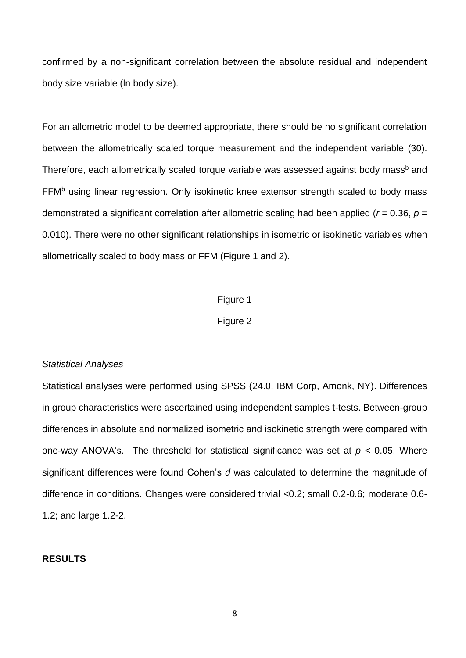confirmed by a non-significant correlation between the absolute residual and independent body size variable (ln body size).

For an allometric model to be deemed appropriate, there should be no significant correlation between the allometrically scaled torque measurement and the independent variable (30). Therefore, each allometrically scaled torque variable was assessed against body mass<sup>b</sup> and FFM<sup>b</sup> using linear regression. Only isokinetic knee extensor strength scaled to body mass demonstrated a significant correlation after allometric scaling had been applied (*r* = 0.36, *p* = 0.010). There were no other significant relationships in isometric or isokinetic variables when allometrically scaled to body mass or FFM (Figure 1 and 2).

### Figure 1

# Figure 2

### *Statistical Analyses*

Statistical analyses were performed using SPSS (24.0, IBM Corp, Amonk, NY). Differences in group characteristics were ascertained using independent samples t-tests. Between-group differences in absolute and normalized isometric and isokinetic strength were compared with one-way ANOVA's. The threshold for statistical significance was set at *p* < 0.05. Where significant differences were found Cohen's *d* was calculated to determine the magnitude of difference in conditions. Changes were considered trivial <0.2; small 0.2-0.6; moderate 0.6- 1.2; and large 1.2-2.

# **RESULTS**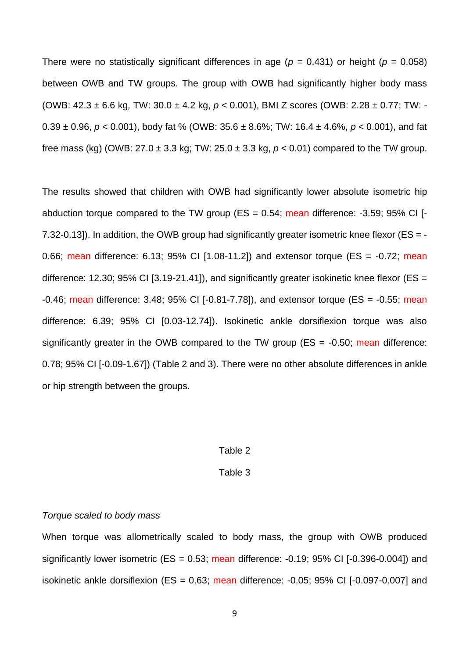There were no statistically significant differences in age ( $p = 0.431$ ) or height ( $p = 0.058$ ) between OWB and TW groups. The group with OWB had significantly higher body mass (OWB: 42.3 ± 6.6 kg*,* TW: 30.0 ± 4.2 kg, *p* < 0.001), BMI Z scores (OWB: 2.28 ± 0.77; TW: - 0.39 ± 0.96, *p* < 0.001), body fat % (OWB: 35.6 ± 8.6%; TW: 16.4 ± 4.6%, *p* < 0.001), and fat free mass (kg) (OWB:  $27.0 \pm 3.3$  kg; TW:  $25.0 \pm 3.3$  kg,  $p < 0.01$ ) compared to the TW group.

The results showed that children with OWB had significantly lower absolute isometric hip abduction torque compared to the TW group ( $ES = 0.54$ ; mean difference: -3.59; 95% CI [-7.32-0.13]). In addition, the OWB group had significantly greater isometric knee flexor ( $ES = -$ 0.66; mean difference: 6.13; 95% CI  $[1.08-11.2]$  and extensor torque (ES =  $-0.72$ ; mean difference: 12.30; 95% CI [3.19-21.41]), and significantly greater isokinetic knee flexor (ES =  $-0.46$ ; mean difference: 3.48; 95% CI  $[-0.81 - 7.78]$ ), and extensor torque (ES =  $-0.55$ ; mean difference: 6.39; 95% CI [0.03-12.74]). Isokinetic ankle dorsiflexion torque was also significantly greater in the OWB compared to the TW group ( $ES = -0.50$ ; mean difference: 0.78; 95% CI [-0.09-1.67]) (Table 2 and 3). There were no other absolute differences in ankle or hip strength between the groups.

#### Table 2

# Table 3

# *Torque scaled to body mass*

When torque was allometrically scaled to body mass, the group with OWB produced significantly lower isometric (ES = 0.53; mean difference: -0.19; 95% CI [-0.396-0.004]) and isokinetic ankle dorsiflexion ( $ES = 0.63$ ; mean difference:  $-0.05$ ; 95% CI  $[-0.097 - 0.007]$  and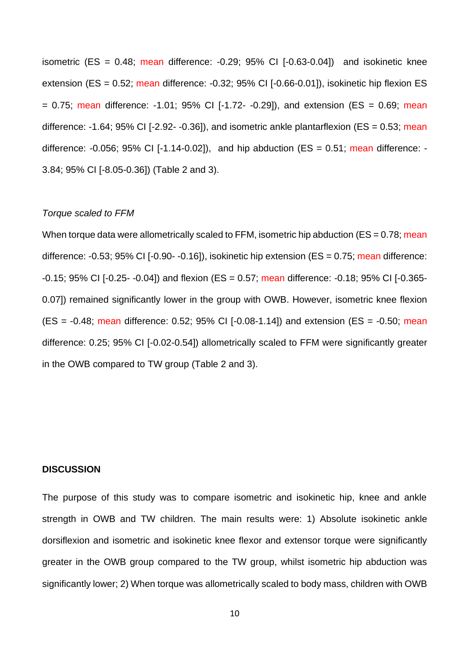isometric (ES =  $0.48$ ; mean difference:  $-0.29$ ;  $95\%$  CI  $[-0.63-0.04]$ ) and isokinetic knee extension (ES = 0.52; mean difference: -0.32; 95% CI [-0.66-0.01]), isokinetic hip flexion ES  $= 0.75$ ; mean difference: -1.01; 95% CI [-1.72- -0.29]), and extension (ES = 0.69; mean difference: -1.64; 95% CI [-2.92- -0.36]), and isometric ankle plantarflexion ( $ES = 0.53$ ; mean difference:  $-0.056$ ; 95% CI  $[-1.14 - 0.02]$ , and hip abduction (ES = 0.51; mean difference:  $-$ 3.84; 95% CI [-8.05-0.36]) (Table 2 and 3).

## *Torque scaled to FFM*

When torque data were allometrically scaled to FFM, isometric hip abduction ( $ES = 0.78$ ; mean difference:  $-0.53$ ; 95% CI  $[-0.90 - 0.16]$ , isokinetic hip extension (ES = 0.75; mean difference:  $-0.15$ ; 95% CI [ $-0.25 - 0.04$ ]) and flexion (ES = 0.57; mean difference:  $-0.18$ ; 95% CI [ $-0.365 - 0.18$ ] 0.07]) remained significantly lower in the group with OWB. However, isometric knee flexion  $(ES = -0.48; \text{ mean difference: } 0.52; 95\% \text{ CI} [-0.08-1.14])$  and extension  $(ES = -0.50; \text{ mean}$ difference: 0.25; 95% CI [-0.02-0.54]) allometrically scaled to FFM were significantly greater in the OWB compared to TW group (Table 2 and 3).

# **DISCUSSION**

The purpose of this study was to compare isometric and isokinetic hip, knee and ankle strength in OWB and TW children. The main results were: 1) Absolute isokinetic ankle dorsiflexion and isometric and isokinetic knee flexor and extensor torque were significantly greater in the OWB group compared to the TW group, whilst isometric hip abduction was significantly lower; 2) When torque was allometrically scaled to body mass, children with OWB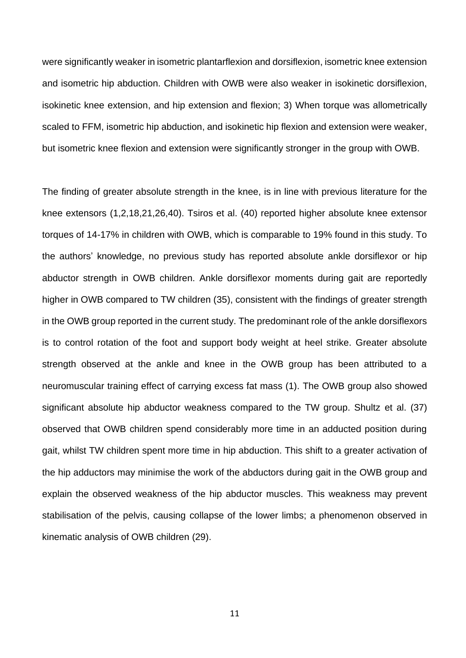were significantly weaker in isometric plantarflexion and dorsiflexion, isometric knee extension and isometric hip abduction. Children with OWB were also weaker in isokinetic dorsiflexion, isokinetic knee extension, and hip extension and flexion; 3) When torque was allometrically scaled to FFM, isometric hip abduction, and isokinetic hip flexion and extension were weaker, but isometric knee flexion and extension were significantly stronger in the group with OWB.

The finding of greater absolute strength in the knee, is in line with previous literature for the knee extensors (1,2,18,21,26,40). Tsiros et al. (40) reported higher absolute knee extensor torques of 14-17% in children with OWB, which is comparable to 19% found in this study. To the authors' knowledge, no previous study has reported absolute ankle dorsiflexor or hip abductor strength in OWB children. Ankle dorsiflexor moments during gait are reportedly higher in OWB compared to TW children (35), consistent with the findings of greater strength in the OWB group reported in the current study. The predominant role of the ankle dorsiflexors is to control rotation of the foot and support body weight at heel strike. Greater absolute strength observed at the ankle and knee in the OWB group has been attributed to a neuromuscular training effect of carrying excess fat mass (1). The OWB group also showed significant absolute hip abductor weakness compared to the TW group. Shultz et al. (37) observed that OWB children spend considerably more time in an adducted position during gait, whilst TW children spent more time in hip abduction. This shift to a greater activation of the hip adductors may minimise the work of the abductors during gait in the OWB group and explain the observed weakness of the hip abductor muscles. This weakness may prevent stabilisation of the pelvis, causing collapse of the lower limbs; a phenomenon observed in kinematic analysis of OWB children (29).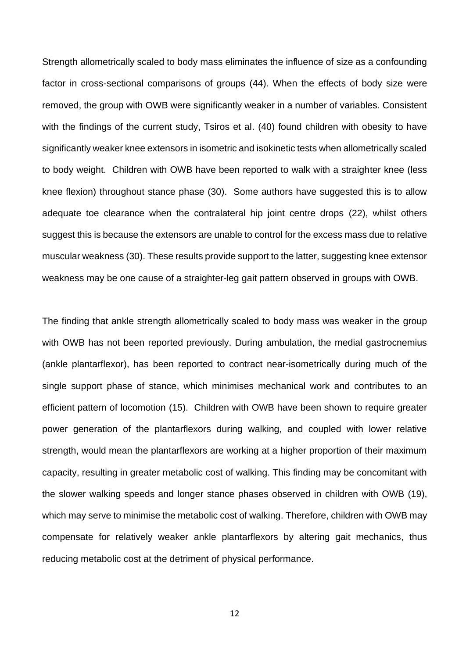Strength allometrically scaled to body mass eliminates the influence of size as a confounding factor in cross-sectional comparisons of groups (44). When the effects of body size were removed, the group with OWB were significantly weaker in a number of variables. Consistent with the findings of the current study, Tsiros et al. (40) found children with obesity to have significantly weaker knee extensors in isometric and isokinetic tests when allometrically scaled to body weight. Children with OWB have been reported to walk with a straighter knee (less knee flexion) throughout stance phase (30). Some authors have suggested this is to allow adequate toe clearance when the contralateral hip joint centre drops (22), whilst others suggest this is because the extensors are unable to control for the excess mass due to relative muscular weakness (30). These results provide support to the latter, suggesting knee extensor weakness may be one cause of a straighter-leg gait pattern observed in groups with OWB.

The finding that ankle strength allometrically scaled to body mass was weaker in the group with OWB has not been reported previously. During ambulation, the medial gastrocnemius (ankle plantarflexor), has been reported to contract near-isometrically during much of the single support phase of stance, which minimises mechanical work and contributes to an efficient pattern of locomotion (15). Children with OWB have been shown to require greater power generation of the plantarflexors during walking, and coupled with lower relative strength, would mean the plantarflexors are working at a higher proportion of their maximum capacity, resulting in greater metabolic cost of walking. This finding may be concomitant with the slower walking speeds and longer stance phases observed in children with OWB (19), which may serve to minimise the metabolic cost of walking. Therefore, children with OWB may compensate for relatively weaker ankle plantarflexors by altering gait mechanics, thus reducing metabolic cost at the detriment of physical performance.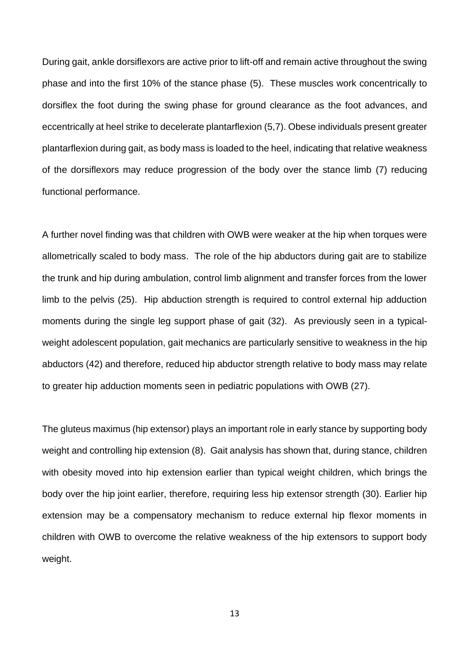During gait, ankle dorsiflexors are active prior to lift-off and remain active throughout the swing phase and into the first 10% of the stance phase (5). These muscles work concentrically to dorsiflex the foot during the swing phase for ground clearance as the foot advances, and eccentrically at heel strike to decelerate plantarflexion (5,7). Obese individuals present greater plantarflexion during gait, as body mass is loaded to the heel, indicating that relative weakness of the dorsiflexors may reduce progression of the body over the stance limb (7) reducing functional performance.

A further novel finding was that children with OWB were weaker at the hip when torques were allometrically scaled to body mass. The role of the hip abductors during gait are to stabilize the trunk and hip during ambulation, control limb alignment and transfer forces from the lower limb to the pelvis (25). Hip abduction strength is required to control external hip adduction moments during the single leg support phase of gait (32). As previously seen in a typicalweight adolescent population, gait mechanics are particularly sensitive to weakness in the hip abductors (42) and therefore, reduced hip abductor strength relative to body mass may relate to greater hip adduction moments seen in pediatric populations with OWB (27).

The gluteus maximus (hip extensor) plays an important role in early stance by supporting body weight and controlling hip extension (8). Gait analysis has shown that, during stance, children with obesity moved into hip extension earlier than typical weight children, which brings the body over the hip joint earlier, therefore, requiring less hip extensor strength (30). Earlier hip extension may be a compensatory mechanism to reduce external hip flexor moments in children with OWB to overcome the relative weakness of the hip extensors to support body weight.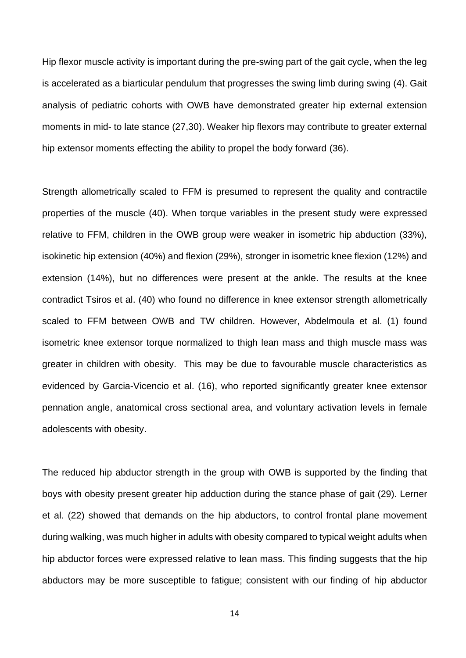Hip flexor muscle activity is important during the pre-swing part of the gait cycle, when the leg is accelerated as a biarticular pendulum that progresses the swing limb during swing (4). Gait analysis of pediatric cohorts with OWB have demonstrated greater hip external extension moments in mid- to late stance (27,30). Weaker hip flexors may contribute to greater external hip extensor moments effecting the ability to propel the body forward (36).

Strength allometrically scaled to FFM is presumed to represent the quality and contractile properties of the muscle (40). When torque variables in the present study were expressed relative to FFM, children in the OWB group were weaker in isometric hip abduction (33%), isokinetic hip extension (40%) and flexion (29%), stronger in isometric knee flexion (12%) and extension (14%), but no differences were present at the ankle. The results at the knee contradict Tsiros et al. (40) who found no difference in knee extensor strength allometrically scaled to FFM between OWB and TW children. However, Abdelmoula et al. (1) found isometric knee extensor torque normalized to thigh lean mass and thigh muscle mass was greater in children with obesity. This may be due to favourable muscle characteristics as evidenced by Garcia-Vicencio et al. (16), who reported significantly greater knee extensor pennation angle, anatomical cross sectional area, and voluntary activation levels in female adolescents with obesity.

The reduced hip abductor strength in the group with OWB is supported by the finding that boys with obesity present greater hip adduction during the stance phase of gait (29). Lerner et al. (22) showed that demands on the hip abductors, to control frontal plane movement during walking, was much higher in adults with obesity compared to typical weight adults when hip abductor forces were expressed relative to lean mass. This finding suggests that the hip abductors may be more susceptible to fatigue; consistent with our finding of hip abductor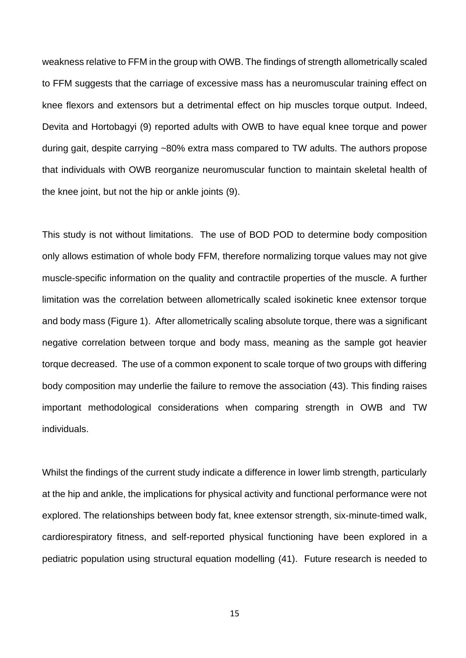weakness relative to FFM in the group with OWB. The findings of strength allometrically scaled to FFM suggests that the carriage of excessive mass has a neuromuscular training effect on knee flexors and extensors but a detrimental effect on hip muscles torque output. Indeed, Devita and Hortobagyi (9) reported adults with OWB to have equal knee torque and power during gait, despite carrying ~80% extra mass compared to TW adults. The authors propose that individuals with OWB reorganize neuromuscular function to maintain skeletal health of the knee joint, but not the hip or ankle joints (9).

This study is not without limitations. The use of BOD POD to determine body composition only allows estimation of whole body FFM, therefore normalizing torque values may not give muscle-specific information on the quality and contractile properties of the muscle. A further limitation was the correlation between allometrically scaled isokinetic knee extensor torque and body mass (Figure 1). After allometrically scaling absolute torque, there was a significant negative correlation between torque and body mass, meaning as the sample got heavier torque decreased. The use of a common exponent to scale torque of two groups with differing body composition may underlie the failure to remove the association (43). This finding raises important methodological considerations when comparing strength in OWB and TW individuals.

Whilst the findings of the current study indicate a difference in lower limb strength, particularly at the hip and ankle, the implications for physical activity and functional performance were not explored. The relationships between body fat, knee extensor strength, six-minute-timed walk, cardiorespiratory fitness, and self-reported physical functioning have been explored in a pediatric population using structural equation modelling (41). Future research is needed to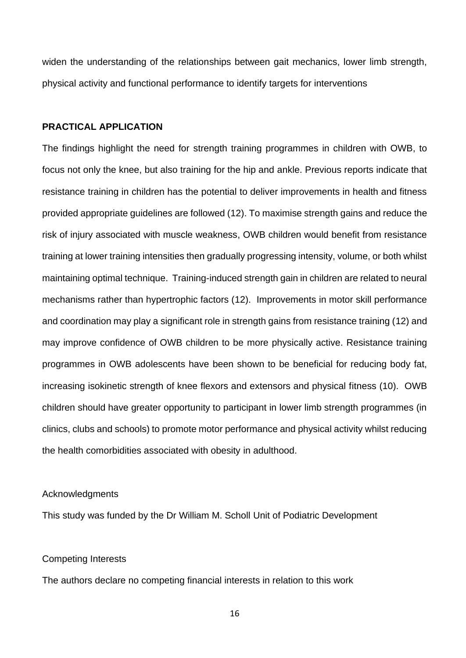widen the understanding of the relationships between gait mechanics, lower limb strength, physical activity and functional performance to identify targets for interventions

# **PRACTICAL APPLICATION**

The findings highlight the need for strength training programmes in children with OWB, to focus not only the knee, but also training for the hip and ankle. Previous reports indicate that resistance training in children has the potential to deliver improvements in health and fitness provided appropriate guidelines are followed (12). To maximise strength gains and reduce the risk of injury associated with muscle weakness, OWB children would benefit from resistance training at lower training intensities then gradually progressing intensity, volume, or both whilst maintaining optimal technique. Training-induced strength gain in children are related to neural mechanisms rather than hypertrophic factors (12). Improvements in motor skill performance and coordination may play a significant role in strength gains from resistance training (12) and may improve confidence of OWB children to be more physically active. Resistance training programmes in OWB adolescents have been shown to be beneficial for reducing body fat, increasing isokinetic strength of knee flexors and extensors and physical fitness (10). OWB children should have greater opportunity to participant in lower limb strength programmes (in clinics, clubs and schools) to promote motor performance and physical activity whilst reducing the health comorbidities associated with obesity in adulthood.

### Acknowledgments

This study was funded by the Dr William M. Scholl Unit of Podiatric Development

# Competing Interests

The authors declare no competing financial interests in relation to this work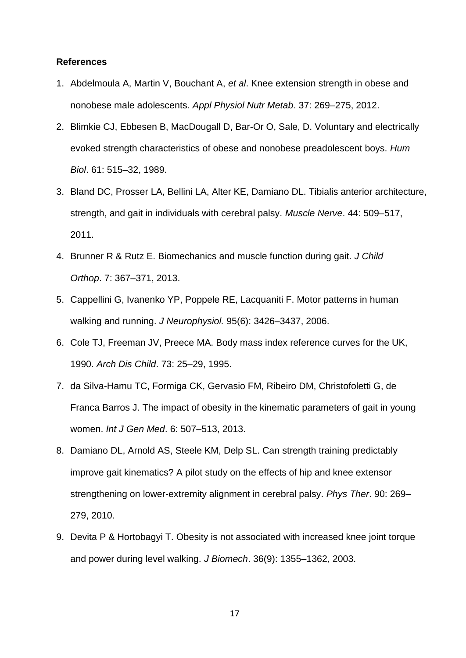### **References**

- 1. Abdelmoula A, Martin V, Bouchant A, *et al*. Knee extension strength in obese and nonobese male adolescents. *Appl Physiol Nutr Metab*. 37: 269–275, 2012.
- 2. Blimkie CJ, Ebbesen B, MacDougall D, Bar-Or O, Sale, D. Voluntary and electrically evoked strength characteristics of obese and nonobese preadolescent boys. *Hum Biol*. 61: 515–32, 1989.
- 3. Bland DC, Prosser LA, Bellini LA, Alter KE, Damiano DL. Tibialis anterior architecture, strength, and gait in individuals with cerebral palsy. *Muscle Nerve*. 44: 509–517, 2011.
- 4. Brunner R & Rutz E. Biomechanics and muscle function during gait. *J Child Orthop*. 7: 367–371, 2013.
- 5. Cappellini G, Ivanenko YP, Poppele RE, Lacquaniti F. Motor patterns in human walking and running. *J Neurophysiol.* 95(6): 3426–3437, 2006.
- 6. Cole TJ, Freeman JV, Preece MA. Body mass index reference curves for the UK, 1990. *Arch Dis Child*. 73: 25–29, 1995.
- 7. da Silva-Hamu TC, Formiga CK, Gervasio FM, Ribeiro DM, Christofoletti G, de Franca Barros J. The impact of obesity in the kinematic parameters of gait in young women. *Int J Gen Med*. 6: 507–513, 2013.
- 8. Damiano DL, Arnold AS, Steele KM, Delp SL. Can strength training predictably improve gait kinematics? A pilot study on the effects of hip and knee extensor strengthening on lower-extremity alignment in cerebral palsy. *Phys Ther*. 90: 269– 279, 2010.
- 9. Devita P & Hortobagyi T. Obesity is not associated with increased knee joint torque and power during level walking. *J Biomech*. 36(9): 1355–1362, 2003.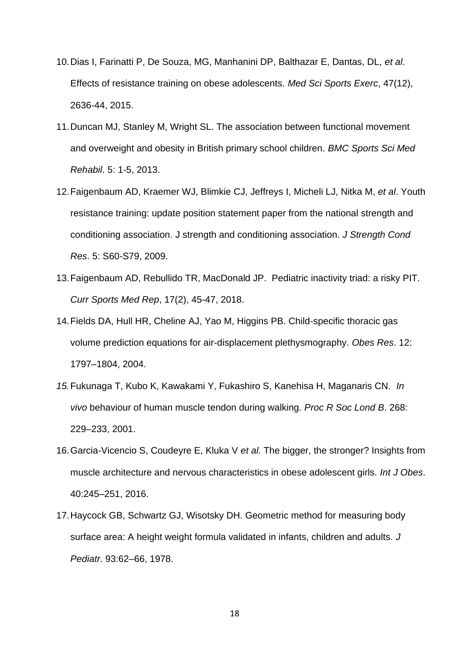- 10.Dias I, Farinatti P, De Souza, MG, Manhanini DP, Balthazar E, Dantas, DL, *et al*. Effects of resistance training on obese adolescents. *Med Sci Sports Exerc*, 47(12), 2636-44, 2015.
- 11.Duncan MJ, Stanley M, Wright SL. The association between functional movement and overweight and obesity in British primary school children. *BMC Sports Sci Med Rehabil*. 5: 1-5, 2013.
- 12.Faigenbaum AD, Kraemer WJ, Blimkie CJ, Jeffreys I, Micheli LJ, Nitka M, *et al*. Youth resistance training: update position statement paper from the national strength and conditioning association. J strength and conditioning association. *J Strength Cond Res*. 5: S60-S79, 2009.
- 13.Faigenbaum AD, Rebullido TR, MacDonald JP. Pediatric inactivity triad: a risky PIT. *Curr Sports Med Rep*, 17(2), 45-47, 2018.
- 14.Fields DA, Hull HR, Cheline AJ, Yao M, Higgins PB. Child-specific thoracic gas volume prediction equations for air-displacement plethysmography. *Obes Res*. 12: 1797–1804, 2004.
- *15.*Fukunaga T, Kubo K, Kawakami Y, Fukashiro S, Kanehisa H, Maganaris CN. *In vivo* behaviour of human muscle tendon during walking. *Proc R Soc Lond B*. 268: 229–233, 2001.
- 16.Garcia-Vicencio S, Coudeyre E, Kluka V *et al.* The bigger, the stronger? Insights from muscle architecture and nervous characteristics in obese adolescent girls. *Int J Obes*. 40:245–251, 2016.
- 17.Haycock GB, Schwartz GJ, Wisotsky DH. Geometric method for measuring body surface area: A height weight formula validated in infants, children and adults. *J Pediatr*. 93:62–66, 1978.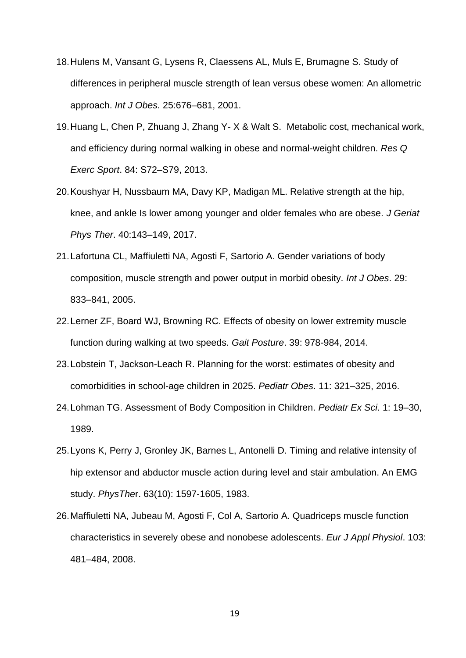- 18.Hulens M, Vansant G, Lysens R, Claessens AL, Muls E, Brumagne S. Study of differences in peripheral muscle strength of lean versus obese women: An allometric approach. *Int J Obes.* 25:676–681, 2001.
- 19.Huang L, Chen P, Zhuang J, Zhang Y- X & Walt S. Metabolic cost, mechanical work, and efficiency during normal walking in obese and normal-weight children. *Res Q Exerc Sport*. 84: S72–S79, 2013.
- 20.Koushyar H, Nussbaum MA, Davy KP, Madigan ML. Relative strength at the hip, knee, and ankle Is lower among younger and older females who are obese. *J Geriat Phys Ther*. 40:143–149, 2017.
- 21.Lafortuna CL, Maffiuletti NA, Agosti F, Sartorio A. Gender variations of body composition, muscle strength and power output in morbid obesity. *Int J Obes*. 29: 833–841, 2005.
- 22.Lerner ZF, Board WJ, Browning RC. Effects of obesity on lower extremity muscle function during walking at two speeds. *Gait Posture*. 39: 978-984, 2014.
- 23.Lobstein T, Jackson-Leach R. Planning for the worst: estimates of obesity and comorbidities in school-age children in 2025. *Pediatr Obes*. 11: 321–325, 2016.
- 24.Lohman TG. Assessment of Body Composition in Children. *Pediatr Ex Sci*. 1: 19–30, 1989.
- 25.Lyons K, Perry J, Gronley JK, Barnes L, Antonelli D. Timing and relative intensity of hip extensor and abductor muscle action during level and stair ambulation. An EMG study. *PhysThe*r. 63(10): 1597‐1605, 1983.
- 26.Maffiuletti NA, Jubeau M, Agosti F, Col A, Sartorio A. Quadriceps muscle function characteristics in severely obese and nonobese adolescents. *Eur J Appl Physiol*. 103: 481–484, 2008.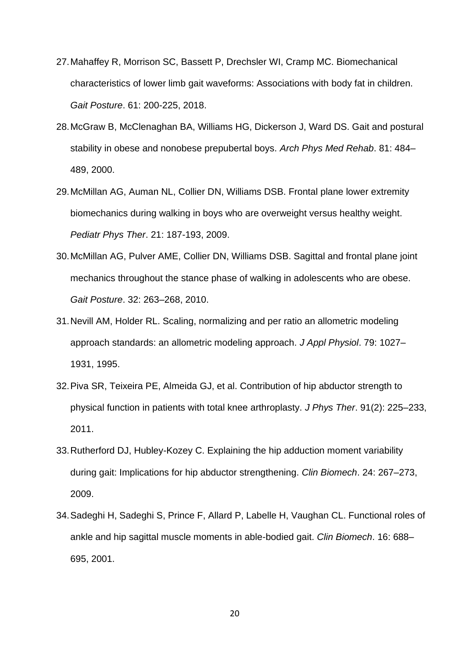- 27.Mahaffey R, Morrison SC, Bassett P, Drechsler WI, Cramp MC. Biomechanical characteristics of lower limb gait waveforms: Associations with body fat in children. *Gait Posture*. 61: 200-225, 2018.
- 28.McGraw B, McClenaghan BA, Williams HG, Dickerson J, Ward DS. Gait and postural stability in obese and nonobese prepubertal boys. *Arch Phys Med Rehab*. 81: 484– 489, 2000.
- 29.McMillan AG, Auman NL, Collier DN, Williams DSB. Frontal plane lower extremity biomechanics during walking in boys who are overweight versus healthy weight. *Pediatr Phys Ther*. 21: 187-193, 2009.
- 30.McMillan AG, Pulver AME, Collier DN, Williams DSB. Sagittal and frontal plane joint mechanics throughout the stance phase of walking in adolescents who are obese. *Gait Posture*. 32: 263–268, 2010.
- 31.Nevill AM, Holder RL. Scaling, normalizing and per ratio an allometric modeling approach standards: an allometric modeling approach. *J Appl Physiol*. 79: 1027– 1931, 1995.
- 32.Piva SR, Teixeira PE, Almeida GJ, et al. Contribution of hip abductor strength to physical function in patients with total knee arthroplasty. *J Phys Ther*. 91(2): 225–233, 2011.
- 33.Rutherford DJ, Hubley-Kozey C. Explaining the hip adduction moment variability during gait: Implications for hip abductor strengthening. *Clin Biomech*. 24: 267–273, 2009.
- 34.Sadeghi H, Sadeghi S, Prince F, Allard P, Labelle H, Vaughan CL. Functional roles of ankle and hip sagittal muscle moments in able-bodied gait. *Clin Biomech*. 16: 688– 695, 2001.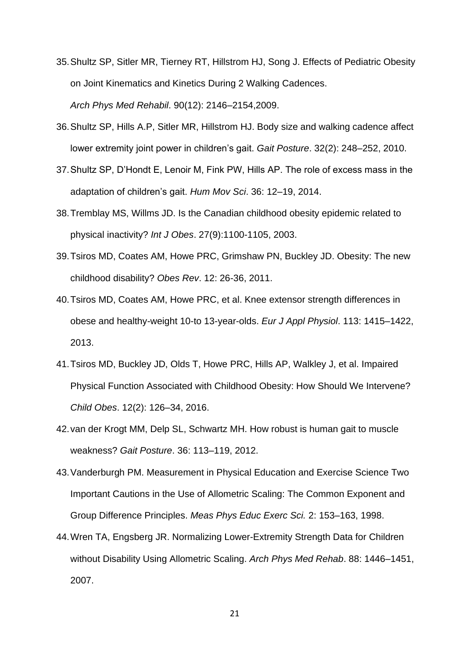- 35.Shultz SP, Sitler MR, Tierney RT, Hillstrom HJ, Song J. Effects of Pediatric Obesity on Joint Kinematics and Kinetics During 2 Walking Cadences. *Arch Phys Med Rehabil*. 90(12): 2146–2154,2009.
- 36.Shultz SP, Hills A.P, Sitler MR, Hillstrom HJ. Body size and walking cadence affect lower extremity joint power in children's gait. *Gait Posture*. 32(2): 248–252, 2010.
- 37.Shultz SP, D'Hondt E, Lenoir M, Fink PW, Hills AP. The role of excess mass in the adaptation of children's gait. *Hum Mov Sci*. 36: 12–19, 2014.
- 38.Tremblay MS, Willms JD. Is the Canadian childhood obesity epidemic related to physical inactivity? *Int J Obes*. 27(9):1100-1105, 2003.
- 39.Tsiros MD, Coates AM, Howe PRC, Grimshaw PN, Buckley JD. Obesity: The new childhood disability? *Obes Rev*. 12: 26-36, 2011.
- 40.Tsiros MD, Coates AM, Howe PRC, et al. Knee extensor strength differences in obese and healthy-weight 10-to 13-year-olds. *Eur J Appl Physiol*. 113: 1415–1422, 2013.
- 41.Tsiros MD, Buckley JD, Olds T, Howe PRC, Hills AP, Walkley J, et al. Impaired Physical Function Associated with Childhood Obesity: How Should We Intervene? *Child Obes*. 12(2): 126–34, 2016.
- 42.van der Krogt MM, Delp SL, Schwartz MH. How robust is human gait to muscle weakness? *Gait Posture*. 36: 113–119, 2012.
- 43.Vanderburgh PM. Measurement in Physical Education and Exercise Science Two Important Cautions in the Use of Allometric Scaling: The Common Exponent and Group Difference Principles. *Meas Phys Educ Exerc Sci.* 2: 153–163, 1998.
- 44.Wren TA, Engsberg JR. Normalizing Lower-Extremity Strength Data for Children without Disability Using Allometric Scaling. *Arch Phys Med Rehab*. 88: 1446–1451, 2007.